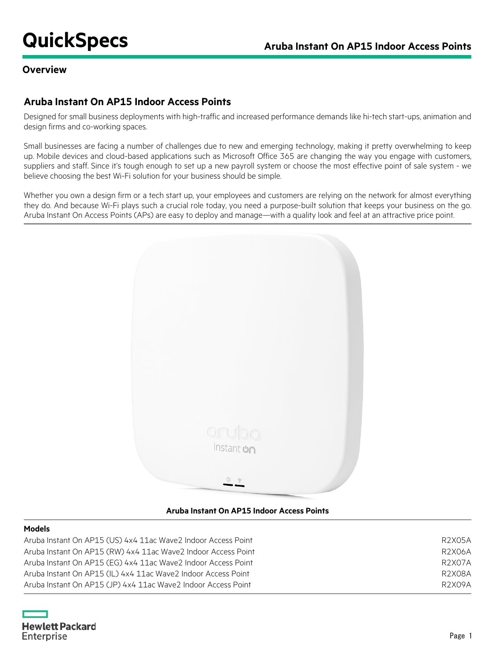## **Overview**

# **Aruba Instant On AP15 Indoor Access Points**

Designed for small business deployments with high-traffic and increased performance demands like hi-tech start-ups, animation and design firms and co-working spaces.

Small businesses are facing a number of challenges due to new and emerging technology, making it pretty overwhelming to keep up. Mobile devices and cloud-based applications such as Microsoft Office 365 are changing the way you engage with customers, suppliers and staff. Since it's tough enough to set up a new payroll system or choose the most effective point of sale system - we believe choosing the best Wi-Fi solution for your business should be simple.

Whether you own a design firm or a tech start up, your employees and customers are relying on the network for almost everything they do. And because Wi-Fi plays such a crucial role today, you need a purpose-built solution that keeps your business on the go. Aruba Instant On Access Points (APs) are easy to deploy and manage—with a quality look and feel at an attractive price point.



#### **Aruba Instant On AP15 Indoor Access Points**

#### **Models**

| Aruba Instant On AP15 (US) 4x4 11ac Wave2 Indoor Access Point | R2X05A |
|---------------------------------------------------------------|--------|
| Aruba Instant On AP15 (RW) 4x4 11ac Wave2 Indoor Access Point | R2X06A |
| Aruba Instant On AP15 (EG) 4x4 11ac Wave2 Indoor Access Point | R2X07A |
| Aruba Instant On AP15 (IL) 4x4 11ac Wave2 Indoor Access Point | R2X08A |
| Aruba Instant On AP15 (JP) 4x4 11ac Wave2 Indoor Access Point | R2X09A |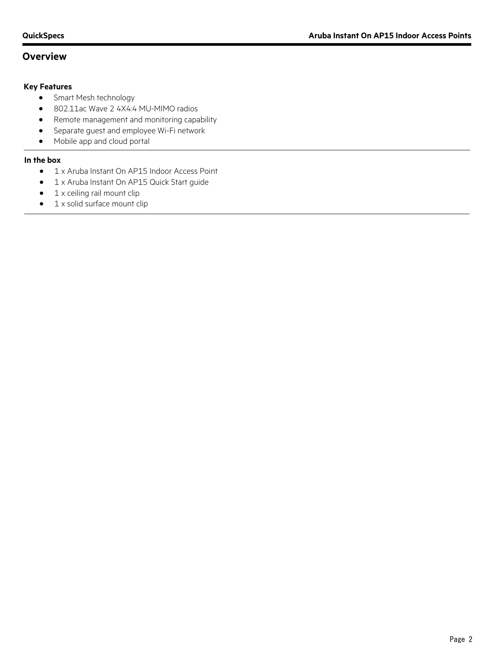# **Overview**

#### **Key Features**

- Smart Mesh technology
- 802.11ac Wave 2 4X4:4 MU-MIMO radios
- Remote management and monitoring capability
- Separate guest and employee Wi-Fi network
- Mobile app and cloud portal

#### **In the box**

- 1 x Aruba Instant On AP15 Indoor Access Point
- 1 x Aruba Instant On AP15 Quick Start guide
- 1 x ceiling rail mount clip
- 1 x solid surface mount clip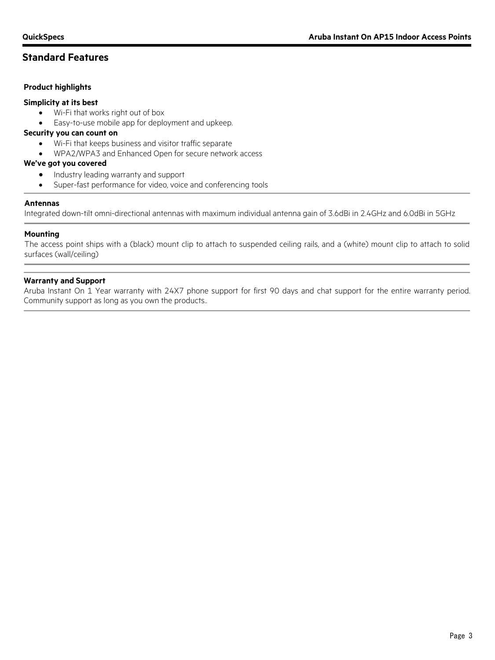# **Standard Features**

#### **Product highlights**

#### **Simplicity at its best**

- Wi-Fi that works right out of box
- Easy-to-use mobile app for deployment and upkeep.

#### **Security you can count on**

- Wi-Fi that keeps business and visitor traffic separate
- WPA2/WPA3 and Enhanced Open for secure network access

#### **We've got you covered**

- Industry leading warranty and support
- Super-fast performance for video, voice and conferencing tools

#### **Antennas**

Integrated down-tilt omni-directional antennas with maximum individual antenna gain of 3.6dBi in 2.4GHz and 6.0dBi in 5GHz

#### **Mounting**

The access point ships with a (black) mount clip to attach to suspended ceiling rails, and a (white) mount clip to attach to solid surfaces (wall/ceiling)

#### **Warranty and Support**

Aruba Instant On 1 Year warranty with 24X7 phone support for first 90 days and chat support for the entire warranty period. Community support as long as you own the products..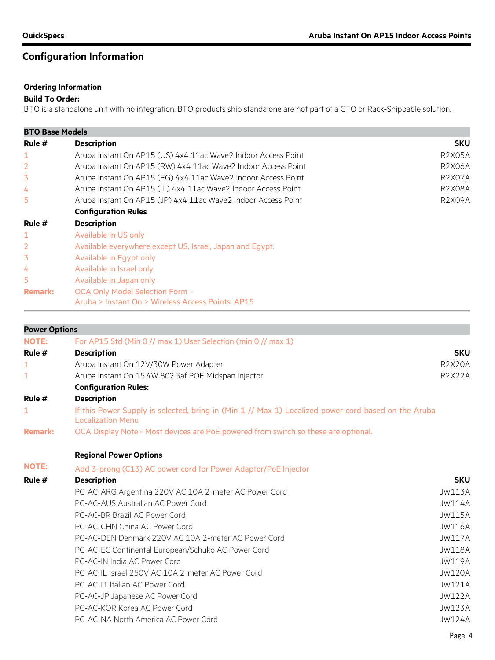# **Configuration Information**

# **Ordering Information**

### **Build To Order:**

BTO is a standalone unit with no integration. BTO products ship standalone are not part of a CTO or Rack-Shippable solution.

| <b>BTO Base Models</b> |                                                                                      |                                |  |
|------------------------|--------------------------------------------------------------------------------------|--------------------------------|--|
| Rule $#$               | <b>Description</b>                                                                   | <b>SKU</b>                     |  |
| 1                      | Aruba Instant On AP15 (US) 4x4 11ac Wave2 Indoor Access Point                        | <b>R2X05A</b>                  |  |
|                        | Aruba Instant On AP15 (RW) 4x4 11ac Wave2 Indoor Access Point                        | <b>R2X06A</b><br><b>R2X07A</b> |  |
| 3                      | Aruba Instant On AP15 (EG) 4x4 11ac Wave2 Indoor Access Point                        |                                |  |
| 4                      | Aruba Instant On AP15 (IL) 4x4 11ac Wave2 Indoor Access Point                        | <b>R2X08A</b>                  |  |
| 5                      | Aruba Instant On AP15 (JP) 4x4 11ac Wave2 Indoor Access Point                        | R2X09A                         |  |
|                        | <b>Configuration Rules</b>                                                           |                                |  |
| Rule #                 | <b>Description</b>                                                                   |                                |  |
| 1                      | Available in US only                                                                 |                                |  |
|                        | Available everywhere except US, Israel, Japan and Egypt.                             |                                |  |
| 3                      | Available in Egypt only                                                              |                                |  |
| 4                      | Available in Israel only                                                             |                                |  |
| 5                      | Available in Japan only                                                              |                                |  |
| <b>Remark:</b>         | OCA Only Model Selection Form -<br>Aruba > Instant On > Wireless Access Points: AP15 |                                |  |

| <b>Power Options</b>                                                               |                                                                                                     |  |  |
|------------------------------------------------------------------------------------|-----------------------------------------------------------------------------------------------------|--|--|
| For AP15 Std (Min 0 // max 1) User Selection (min 0 // max 1)                      |                                                                                                     |  |  |
| Rule #<br><b>Description</b>                                                       |                                                                                                     |  |  |
| Aruba Instant On 12V/30W Power Adapter                                             | <b>R2X20A</b>                                                                                       |  |  |
| Aruba Instant On 15.4W 802.3af POE Midspan Injector                                | <b>R2X22A</b>                                                                                       |  |  |
| <b>Configuration Rules:</b>                                                        |                                                                                                     |  |  |
| <b>Description</b>                                                                 |                                                                                                     |  |  |
| <b>Localization Menu</b>                                                           |                                                                                                     |  |  |
| OCA Display Note - Most devices are PoE powered from switch so these are optional. |                                                                                                     |  |  |
| <b>Regional Power Options</b>                                                      |                                                                                                     |  |  |
| Add 3-prong (C13) AC power cord for Power Adaptor/PoE Injector                     |                                                                                                     |  |  |
| <b>Description</b>                                                                 | <b>SKU</b>                                                                                          |  |  |
| PC-AC-ARG Argentina 220V AC 10A 2-meter AC Power Cord                              | <b>JW113A</b>                                                                                       |  |  |
| PC-AC-AUS Australian AC Power Cord                                                 | <b>JW114A</b>                                                                                       |  |  |
| PC-AC-BR Brazil AC Power Cord                                                      | <b>JW115A</b>                                                                                       |  |  |
| PC-AC-CHN China AC Power Cord                                                      | <b>JW116A</b>                                                                                       |  |  |
| PC-AC-DEN Denmark 220V AC 10A 2-meter AC Power Cord                                | <b>JW117A</b>                                                                                       |  |  |
| PC-AC-EC Continental European/Schuko AC Power Cord                                 | <b>JW118A</b>                                                                                       |  |  |
| PC-AC-IN India AC Power Cord                                                       | <b>JW119A</b>                                                                                       |  |  |
| PC-AC-IL Israel 250V AC 10A 2-meter AC Power Cord                                  | <b>JW120A</b>                                                                                       |  |  |
| PC-AC-IT Italian AC Power Cord                                                     | <b>JW121A</b>                                                                                       |  |  |
| PC-AC-JP Japanese AC Power Cord                                                    | <b>JW122A</b>                                                                                       |  |  |
| PC-AC-KOR Korea AC Power Cord                                                      | <b>JW123A</b>                                                                                       |  |  |
| PC-AC-NA North America AC Power Cord                                               | <b>JW124A</b>                                                                                       |  |  |
|                                                                                    | If this Power Supply is selected, bring in (Min 1 // Max 1) Localized power cord based on the Aruba |  |  |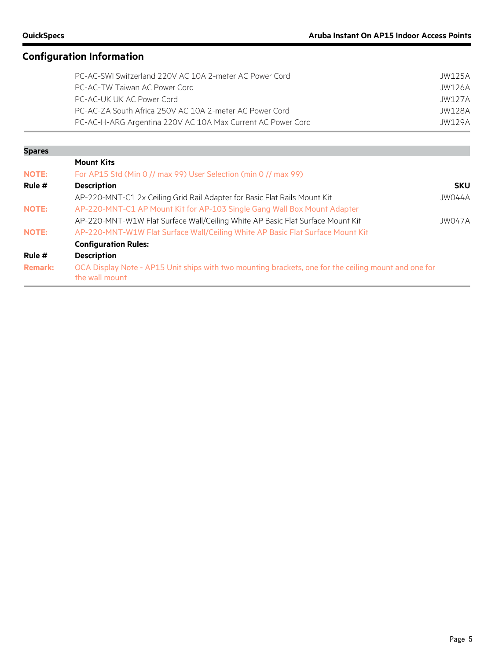# **Configuration Information**

| PC-AC-SWI Switzerland 220V AC 10A 2-meter AC Power Cord     | JW125A |
|-------------------------------------------------------------|--------|
| PC-AC-TW Taiwan AC Power Cord                               | JW126A |
| PC-AC-UK UK AC Power Cord                                   | JW127A |
| PC-AC-ZA South Africa 250V AC 10A 2-meter AC Power Cord     | JW128A |
| PC-AC-H-ARG Argentina 220V AC 10A Max Current AC Power Cord | IW129A |

| <b>Spares</b>  |                                                                                                                        |            |
|----------------|------------------------------------------------------------------------------------------------------------------------|------------|
|                | <b>Mount Kits</b>                                                                                                      |            |
| <b>NOTE:</b>   | For AP15 Std (Min 0 // max 99) User Selection (min 0 // max 99)                                                        |            |
| Rule #         | <b>Description</b>                                                                                                     | <b>SKU</b> |
|                | AP-220-MNT-C1 2x Ceiling Grid Rail Adapter for Basic Flat Rails Mount Kit                                              | JW044A     |
| <b>NOTE:</b>   | AP-220-MNT-C1 AP Mount Kit for AP-103 Single Gang Wall Box Mount Adapter                                               |            |
|                | AP-220-MNT-W1W Flat Surface Wall/Ceiling White AP Basic Flat Surface Mount Kit                                         | JW047A     |
| <b>NOTE:</b>   | AP-220-MNT-W1W Flat Surface Wall/Ceiling White AP Basic Flat Surface Mount Kit                                         |            |
|                | <b>Configuration Rules:</b>                                                                                            |            |
| Rule #         | <b>Description</b>                                                                                                     |            |
| <b>Remark:</b> | OCA Display Note - AP15 Unit ships with two mounting brackets, one for the ceiling mount and one for<br>the wall mount |            |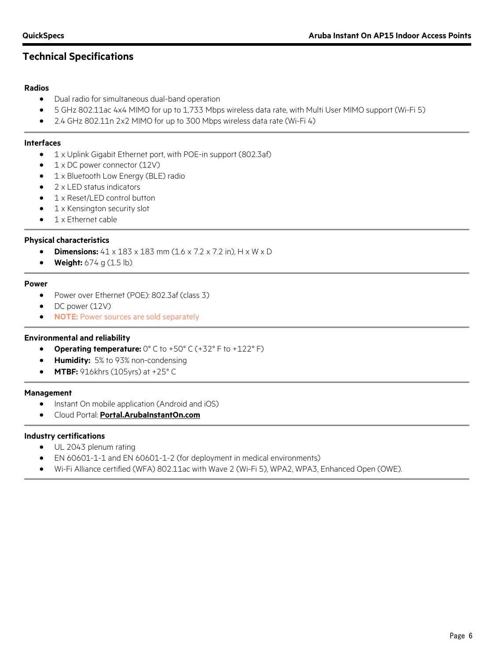# **Technical Specifications**

#### **Radios**

- Dual radio for simultaneous dual-band operation
- 5 GHz 802.11ac 4x4 MIMO for up to 1,733 Mbps wireless data rate, with Multi User MIMO support (Wi-Fi 5)
- 2.4 GHz 802.11n 2x2 MIMO for up to 300 Mbps wireless data rate (Wi-Fi 4)

#### **Interfaces**

- 1 x Uplink Gigabit Ethernet port, with POE-in support (802.3af)
- 1 x DC power connector (12V)
- 1 x Bluetooth Low Energy (BLE) radio
- 2 x LED status indicators
- 1 x Reset/LED control button
- 1 x Kensington security slot
- 1 x Ethernet cable

#### **Physical characteristics**

- **Dimensions:**  $41 \times 183 \times 183$  mm (1.6 x 7.2 x 7.2 in), H x W x D
- **Weight:** 674 g (1.5 lb)

#### **Power**

- Power over Ethernet (POE): 802.3af (class 3)
- DC power (12V)
- **NOTE:** Power sources are sold separately

#### **Environmental and reliability**

- **Operating temperature:** 0° C to +50° C (+32° F to +122° F)
- **Humidity:** 5% to 93% non-condensing
- **MTBF:** 916khrs (105yrs) at +25° C

#### **Management**

- Instant On mobile application (Android and iOS)
- Cloud Portal: **[Portal.ArubaInstantOn.com](http://www.portal.arubainstanton.com/)**

#### **Industry certifications**

- UL 2043 plenum rating
- EN 60601-1-1 and EN 60601-1-2 (for deployment in medical environments)
- Wi-Fi Alliance certified (WFA) 802.11ac with Wave 2 (Wi-Fi 5), WPA2, WPA3, Enhanced Open (OWE).